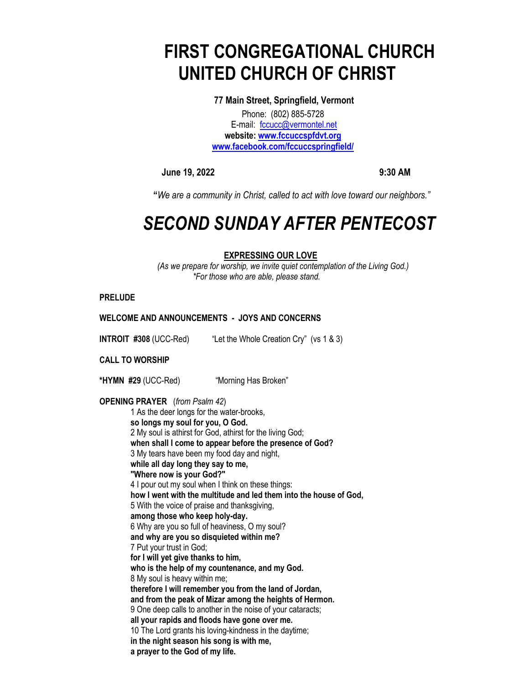# **FIRST CONGREGATIONAL CHURCH UNITED CHURCH OF CHRIST**

**77 Main Street, Springfield, Vermont** Phone: (802) 885-5728 E-mail: [fccucc@vermontel.net](mailto:fccucc@vermontel.net) **website: [www.fccuccspfdvt.org](http://www.fccuccspfdvt.org/) [www.facebook.com/fccuccspringfield/](http://www.facebook.com/fccuccspringfield/)**

**June 19, 2022** 9:30 AM

 **"***We are a community in Christ, called to act with love toward our neighbors."*

# *SECOND SUNDAY AFTER PENTECOST*

# **EXPRESSING OUR LOVE**

*(As we prepare for worship, we invite quiet contemplation of the Living God.) \*For those who are able, please stand.*

**PRELUDE** 

# **WELCOME AND ANNOUNCEMENTS - JOYS AND CONCERNS**

**INTROIT #308** (UCC-Red)"Let the Whole Creation Cry" (vs 1 & 3)

**CALL TO WORSHIP** 

**\*HYMN #29** (UCC-Red)"Morning Has Broken"

**OPENING PRAYER** (*from Psalm 42*)

1 As the deer longs for the water-brooks, **so longs my soul for you, O God.** 2 My soul is athirst for God, athirst for the living God; **when shall I come to appear before the presence of God?** 3 My tears have been my food day and night, **while all day long they say to me, "Where now is your God?"** 4 I pour out my soul when I think on these things: **how I went with the multitude and led them into the house of God,** 5 With the voice of praise and thanksgiving, **among those who keep holy-day.** 6 Why are you so full of heaviness, O my soul? **and why are you so disquieted within me?** 7 Put your trust in God; **for I will yet give thanks to him, who is the help of my countenance, and my God.** 8 My soul is heavy within me; **therefore I will remember you from the land of Jordan, and from the peak of Mizar among the heights of Hermon.** 9 One deep calls to another in the noise of your cataracts; **all your rapids and floods have gone over me.** 10 The Lord grants his loving-kindness in the daytime; **in the night season his song is with me, a prayer to the God of my life.**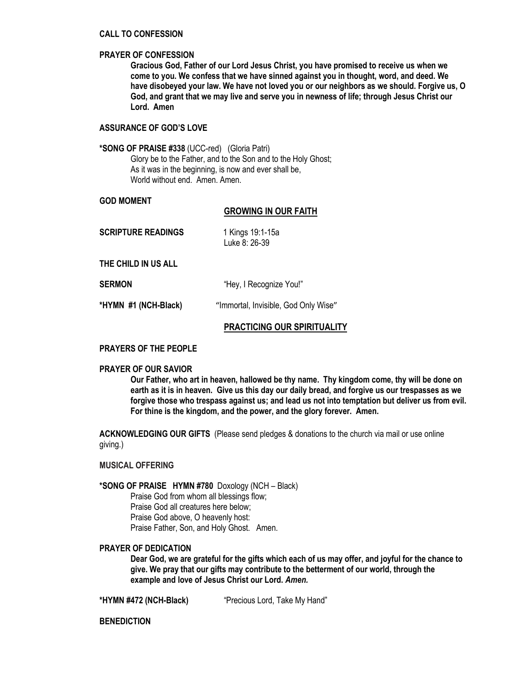#### **CALL TO CONFESSION**

#### **PRAYER OF CONFESSION**

**Gracious God, Father of our Lord Jesus Christ, you have promised to receive us when we come to you. We confess that we have sinned against you in thought, word, and deed. We have disobeyed your law. We have not loved you or our neighbors as we should. Forgive us, O God, and grant that we may live and serve you in newness of life; through Jesus Christ our Lord. Amen**

## **ASSURANCE OF GOD'S LOVE**

#### **\*SONG OF PRAISE #338** (UCC-red) (Gloria Patri)

Glory be to the Father, and to the Son and to the Holy Ghost; As it was in the beginning, is now and ever shall be, World without end. Amen. Amen.

#### **GOD MOMENT**

#### **GROWING IN OUR FAITH**

| <b>SCRIPTURE READINGS</b> | 1 Kings 19:1-15a<br>Luke 8: 26-39 |
|---------------------------|-----------------------------------|
| THE CHILD IN US ALL       |                                   |

**SERMON** "Hey, I Recognize You!"

**\*HYMN #1 (NCH-Black)** "Immortal, Invisible, God Only Wise"

# **PRACTICING OUR SPIRITUALITY**

#### **PRAYERS OF THE PEOPLE**

#### **PRAYER OF OUR SAVIOR**

**Our Father, who art in heaven, hallowed be thy name. Thy kingdom come, thy will be done on earth as it is in heaven. Give us this day our daily bread, and forgive us our trespasses as we forgive those who trespass against us; and lead us not into temptation but deliver us from evil. For thine is the kingdom, and the power, and the glory forever. Amen.** 

**ACKNOWLEDGING OUR GIFTS** (Please send pledges & donations to the church via mail or use online giving.)

#### **MUSICAL OFFERING**

# **\*SONG OF PRAISE HYMN #780** Doxology (NCH – Black)

Praise God from whom all blessings flow; Praise God all creatures here below; Praise God above, O heavenly host: Praise Father, Son, and Holy Ghost. Amen.

# **PRAYER OF DEDICATION**

**Dear God, we are grateful for the gifts which each of us may offer, and joyful for the chance to give. We pray that our gifts may contribute to the betterment of our world, through the example and love of Jesus Christ our Lord.** *Amen.*

**\*HYMN #472 (NCH-Black)** "Precious Lord, Take My Hand"

**BENEDICTION**